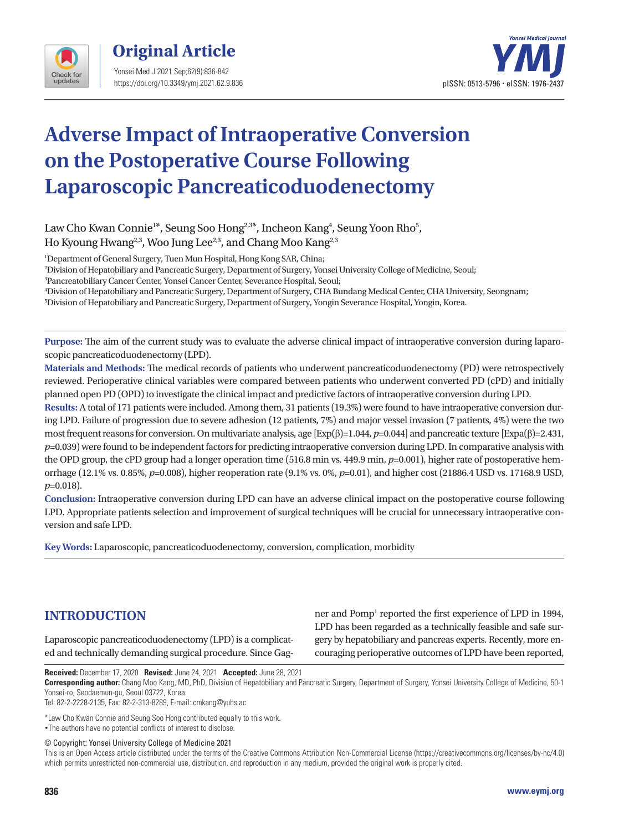

**Original Article**  Yonsei Med J 2021 Sep;62(9):836-842 https://doi.org/10.3349/ymj.2021.62.9.836



# **Adverse Impact of Intraoperative Conversion on the Postoperative Course Following Laparoscopic Pancreaticoduodenectomy**

Law Cho Kwan Connie<sup>1\*</sup>, Seung Soo Hong<sup>2,3\*</sup>, Incheon Kang<sup>4</sup>, Seung Yoon Rho<sup>5</sup>, Ho Kyoung Hwang<sup>2,3</sup>, Woo Jung Lee<sup>2,3</sup>, and Chang Moo Kang<sup>2,3</sup>

1 Department of General Surgery, Tuen Mun Hospital, Hong Kong SAR, China;

2 Division of Hepatobiliary and Pancreatic Surgery, Department of Surgery, Yonsei University College of Medicine, Seoul;

3 Pancreatobiliary Cancer Center, Yonsei Cancer Center, Severance Hospital, Seoul;

4 Division of Hepatobiliary and Pancreatic Surgery, Department of Surgery, CHA Bundang Medical Center, CHA University, Seongnam; 5 Division of Hepatobiliary and Pancreatic Surgery, Department of Surgery, Yongin Severance Hospital, Yongin, Korea.

**Purpose:** The aim of the current study was to evaluate the adverse clinical impact of intraoperative conversion during laparoscopic pancreaticoduodenectomy (LPD).

**Materials and Methods:** The medical records of patients who underwent pancreaticoduodenectomy (PD) were retrospectively reviewed. Perioperative clinical variables were compared between patients who underwent converted PD (cPD) and initially planned open PD (OPD) to investigate the clinical impact and predictive factors of intraoperative conversion during LPD.

**Results:** A total of 171 patients were included. Among them, 31 patients (19.3%) were found to have intraoperative conversion during LPD. Failure of progression due to severe adhesion (12 patients, 7%) and major vessel invasion (7 patients, 4%) were the two most frequent reasons for conversion. On multivariate analysis, age [Exp(β)=1.044, *p*=0.044] and pancreatic texture [Expa(β)=2.431, *p*=0.039) were found to be independent factors for predicting intraoperative conversion during LPD. In comparative analysis with the OPD group, the cPD group had a longer operation time (516.8 min vs. 449.9 min,  $p=0.001$ ), higher rate of postoperative hemorrhage (12.1% vs. 0.85%, *p*=0.008), higher reoperation rate (9.1% vs. 0%, *p*=0.01), and higher cost (21886.4 USD vs. 17168.9 USD, *p*=0.018).

**Conclusion:** Intraoperative conversion during LPD can have an adverse clinical impact on the postoperative course following LPD. Appropriate patients selection and improvement of surgical techniques will be crucial for unnecessary intraoperative conversion and safe LPD.

**Key Words:** Laparoscopic, pancreaticoduodenectomy, conversion, complication, morbidity

## **INTRODUCTION**

Laparoscopic pancreaticoduodenectomy (LPD) is a complicated and technically demanding surgical procedure. Since Gag-

ner and Pomp<sup>1</sup> reported the first experience of LPD in 1994, LPD has been regarded as a technically feasible and safe surgery by hepatobiliary and pancreas experts. Recently, more encouraging perioperative outcomes of LPD have been reported,

**Received:** December 17, 2020 **Revised:** June 24, 2021 **Accepted:** June 28, 2021

**Corresponding author:** Chang Moo Kang, MD, PhD, Division of Hepatobiliary and Pancreatic Surgery, Department of Surgery, Yonsei University College of Medicine, 50-1 Yonsei-ro, Seodaemun-gu, Seoul 03722, Korea.

Tel: 82-2-2228-2135, Fax: 82-2-313-8289, E-mail: cmkang@yuhs.ac

\*Law Cho Kwan Connie and Seung Soo Hong contributed equally to this work. •The authors have no potential conflicts of interest to disclose.

© Copyright: Yonsei University College of Medicine 2021

This is an Open Access article distributed under the terms of the Creative Commons Attribution Non-Commercial License (https://creativecommons.org/licenses/by-nc/4.0) which permits unrestricted non-commercial use, distribution, and reproduction in any medium, provided the original work is properly cited.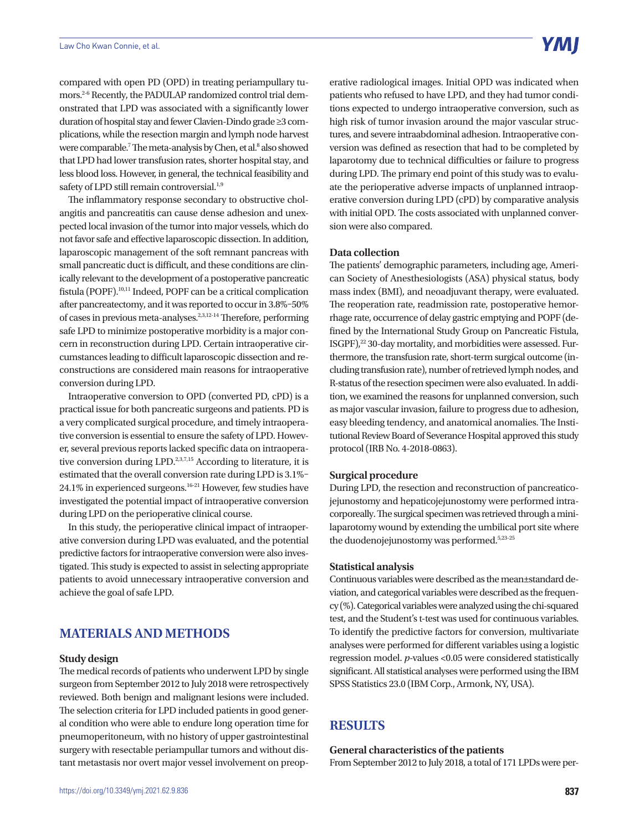compared with open PD (OPD) in treating periampullary tumors.2-6 Recently, the PADULAP randomized control trial demonstrated that LPD was associated with a significantly lower duration of hospital stay and fewer Clavien-Dindo grade ≥3 complications, while the resection margin and lymph node harvest were comparable.<sup>7</sup> The meta-analysis by Chen, et al.<sup>8</sup> also showed that LPD had lower transfusion rates, shorter hospital stay, and less blood loss. However, in general, the technical feasibility and safety of LPD still remain controversial.<sup>1,9</sup>

The inflammatory response secondary to obstructive cholangitis and pancreatitis can cause dense adhesion and unexpected local invasion of the tumor into major vessels, which do not favor safe and effective laparoscopic dissection. In addition, laparoscopic management of the soft remnant pancreas with small pancreatic duct is difficult, and these conditions are clinically relevant to the development of a postoperative pancreatic fistula (POPF).10,11 Indeed, POPF can be a critical complication after pancreatectomy, and it was reported to occur in 3.8%–50% of cases in previous meta-analyses.2,3,12-14 Therefore, performing safe LPD to minimize postoperative morbidity is a major concern in reconstruction during LPD. Certain intraoperative circumstances leading to difficult laparoscopic dissection and reconstructions are considered main reasons for intraoperative conversion during LPD.

Intraoperative conversion to OPD (converted PD, cPD) is a practical issue for both pancreatic surgeons and patients. PD is a very complicated surgical procedure, and timely intraoperative conversion is essential to ensure the safety of LPD. However, several previous reports lacked specific data on intraoperative conversion during LPD.<sup>2,3,7,15</sup> According to literature, it is estimated that the overall conversion rate during LPD is 3.1%– 24.1% in experienced surgeons.16-21 However, few studies have investigated the potential impact of intraoperative conversion during LPD on the perioperative clinical course.

In this study, the perioperative clinical impact of intraoperative conversion during LPD was evaluated, and the potential predictive factors for intraoperative conversion were also investigated. This study is expected to assist in selecting appropriate patients to avoid unnecessary intraoperative conversion and achieve the goal of safe LPD.

## **MATERIALS AND METHODS**

#### **Study design**

The medical records of patients who underwent LPD by single surgeon from September 2012 to July 2018 were retrospectively reviewed. Both benign and malignant lesions were included. The selection criteria for LPD included patients in good general condition who were able to endure long operation time for pneumoperitoneum, with no history of upper gastrointestinal surgery with resectable periampullar tumors and without distant metastasis nor overt major vessel involvement on preoperative radiological images. Initial OPD was indicated when patients who refused to have LPD, and they had tumor conditions expected to undergo intraoperative conversion, such as high risk of tumor invasion around the major vascular structures, and severe intraabdominal adhesion. Intraoperative conversion was defined as resection that had to be completed by laparotomy due to technical difficulties or failure to progress during LPD. The primary end point of this study was to evaluate the perioperative adverse impacts of unplanned intraoperative conversion during LPD (cPD) by comparative analysis with initial OPD. The costs associated with unplanned conversion were also compared.

#### **Data collection**

The patients' demographic parameters, including age, American Society of Anesthesiologists (ASA) physical status, body mass index (BMI), and neoadjuvant therapy, were evaluated. The reoperation rate, readmission rate, postoperative hemorrhage rate, occurrence of delay gastric emptying and POPF (defined by the International Study Group on Pancreatic Fistula, ISGPF),<sup>22</sup> 30-day mortality, and morbidities were assessed. Furthermore, the transfusion rate, short-term surgical outcome (including transfusion rate), number of retrieved lymph nodes, and R-status of the resection specimen were also evaluated. In addition, we examined the reasons for unplanned conversion, such as major vascular invasion, failure to progress due to adhesion, easy bleeding tendency, and anatomical anomalies. The Institutional Review Board of Severance Hospital approved this study protocol (IRB No. 4-2018-0863).

#### **Surgical procedure**

During LPD, the resection and reconstruction of pancreaticojejunostomy and hepaticojejunostomy were performed intracorporeally. The surgical specimen was retrieved through a minilaparotomy wound by extending the umbilical port site where the duodenojejunostomy was performed.<sup>5,23-25</sup>

#### **Statistical analysis**

Continuous variables were described as the mean±standard deviation, and categorical variables were described as the frequency (%). Categorical variables were analyzed using the chi-squared test, and the Student's t-test was used for continuous variables. To identify the predictive factors for conversion, multivariate analyses were performed for different variables using a logistic regression model. *p*-values <0.05 were considered statistically significant. All statistical analyses were performed using the IBM SPSS Statistics 23.0 (IBM Corp., Armonk, NY, USA).

## **RESULTS**

**General characteristics of the patients** From September 2012 to July 2018, a total of 171 LPDs were per-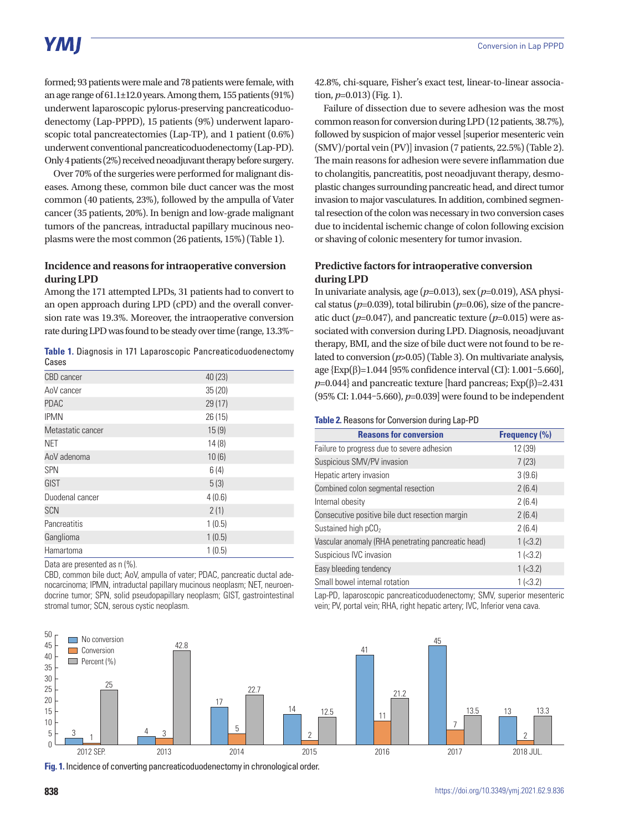# **YMI**

formed; 93 patients were male and 78 patients were female, with an age range of 61.1±12.0 years. Among them, 155 patients (91%) underwent laparoscopic pylorus-preserving pancreaticoduodenectomy (Lap-PPPD), 15 patients (9%) underwent laparoscopic total pancreatectomies (Lap-TP), and 1 patient (0.6%) underwent conventional pancreaticoduodenectomy (Lap-PD). Only 4 patients (2%) received neoadjuvant therapy before surgery.

Over 70% of the surgeries were performed for malignant diseases. Among these, common bile duct cancer was the most common (40 patients, 23%), followed by the ampulla of Vater cancer (35 patients, 20%). In benign and low-grade malignant tumors of the pancreas, intraductal papillary mucinous neoplasms were the most common (26 patients, 15%) (Table 1).

#### **Incidence and reasons for intraoperative conversion during LPD**

Among the 171 attempted LPDs, 31 patients had to convert to an open approach during LPD (cPD) and the overall conversion rate was 19.3%. Moreover, the intraoperative conversion rate during LPD was found to be steady over time (range, 13.3%–

|       |  |  | Table 1. Diagnosis in 171 Laparoscopic Pancreaticoduodenectomy |
|-------|--|--|----------------------------------------------------------------|
| Cases |  |  |                                                                |

| CBD cancer        | 40 (23) |
|-------------------|---------|
| AoV cancer        | 35(20)  |
| <b>PDAC</b>       | 29(17)  |
| <b>IPMN</b>       | 26 (15) |
| Metastatic cancer | 15(9)   |
| NET               | 14(8)   |
| AoV adenoma       | 10(6)   |
| <b>SPN</b>        | 6(4)    |
| GIST              | 5(3)    |
| Duodenal cancer   | 4(0.6)  |
| <b>SCN</b>        | 2(1)    |
| Pancreatitis      | 1(0.5)  |
| Ganglioma         | 1(0.5)  |
| Hamartoma         | 1(0.5)  |

Data are presented as n (%).

CBD, common bile duct; AoV, ampulla of vater; PDAC, pancreatic ductal adenocarcinoma; IPMN, intraductal papillary mucinous neoplasm; NET, neuroendocrine tumor; SPN, solid pseudopapillary neoplasm; GIST, gastrointestinal stromal tumor; SCN, serous cystic neoplasm.

42.8%, chi-square, Fisher's exact test, linear-to-linear association,  $p=0.013$ ) (Fig. 1).

Failure of dissection due to severe adhesion was the most common reason for conversion during LPD (12 patients, 38.7%), followed by suspicion of major vessel [superior mesenteric vein (SMV)/portal vein (PV)] invasion (7 patients, 22.5%) (Table 2). The main reasons for adhesion were severe inflammation due to cholangitis, pancreatitis, post neoadjuvant therapy, desmoplastic changes surrounding pancreatic head, and direct tumor invasion to major vasculatures. In addition, combined segmental resection of the colon was necessary in two conversion cases due to incidental ischemic change of colon following excision or shaving of colonic mesentery for tumor invasion.

#### **Predictive factors for intraoperative conversion during LPD**

In univariate analysis, age (*p*=0.013), sex (*p*=0.019), ASA physical status ( $p=0.039$ ), total bilirubin ( $p=0.06$ ), size of the pancreatic duct  $(p=0.047)$ , and pancreatic texture  $(p=0.015)$  were associated with conversion during LPD. Diagnosis, neoadjuvant therapy, BMI, and the size of bile duct were not found to be related to conversion (*p*>0.05) (Table 3). On multivariate analysis, age {Exp(β)=1.044 [95% confidence interval (CI): 1.001–5.660],  $p=0.044$ } and pancreatic texture [hard pancreas; Exp( $\beta$ )=2.431 (95% CI: 1.044–5.660), *p*=0.039] were found to be independent

#### **Table 2.** Reasons for Conversion during Lap-PD

| <b>Reasons for conversion</b>                      | Frequency (%)  |
|----------------------------------------------------|----------------|
| Failure to progress due to severe adhesion         | 12 (39)        |
| Suspicious SMV/PV invasion                         | 7(23)          |
| Hepatic artery invasion                            | 3(9.6)         |
| Combined colon segmental resection                 | 2(6.4)         |
| Internal obesity                                   | 2(6.4)         |
| Consecutive positive bile duct resection margin    | 2(6.4)         |
| Sustained high $pCO2$                              | 2(6.4)         |
| Vascular anomaly (RHA penetrating pancreatic head) | $1$ ( $<$ 3.2) |
| Suspicious IVC invasion                            | 1 (< 3.2)      |
| Easy bleeding tendency                             | 1 (< 3.2)      |
| Small bowel internal rotation                      | 1 (< 3.2)      |

Lap-PD, laparoscopic pancreaticoduodenectomy; SMV, superior mesenteric vein; PV, portal vein; RHA, right hepatic artery; IVC, Inferior vena cava.



**Fig. 1.** Incidence of converting pancreaticoduodenectomy in chronological order.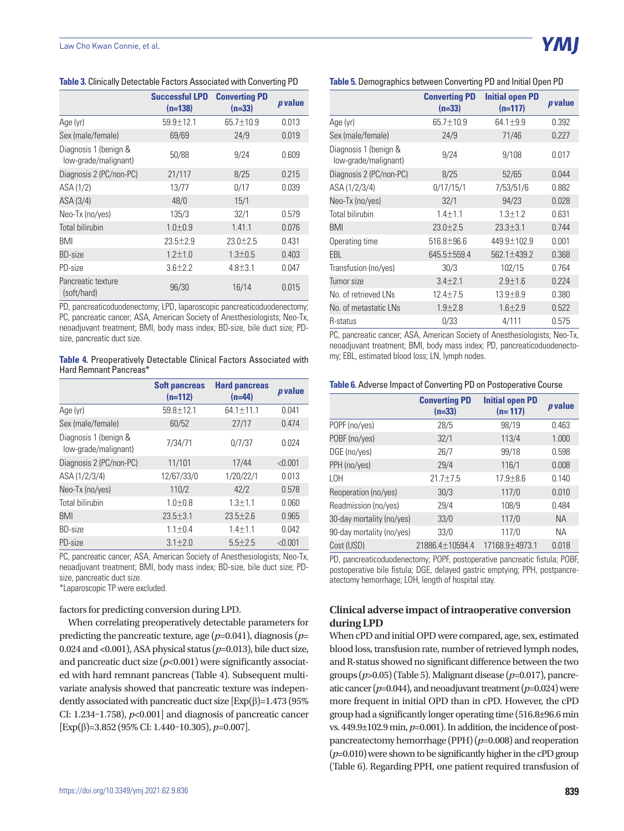**Table 3.** Clinically Detectable Factors Associated with Converting PD

|                                               | <b>Successful LPD</b><br>$(n=138)$ | <b>Converting PD</b><br>$(n=33)$ | p value |
|-----------------------------------------------|------------------------------------|----------------------------------|---------|
| Age (yr)                                      | $59.9 \pm 12.1$                    | 65.7±10.9                        | 0.013   |
| Sex (male/female)                             | 69/69                              | 24/9                             | 0.019   |
| Diagnosis 1 (benign &<br>low-grade/malignant) | 50/88                              | 9/24                             | 0.609   |
| Diagnosis 2 (PC/non-PC)                       | 21/117                             | 8/25                             | 0.215   |
| ASA (1/2)                                     | 13/77                              | 0/17                             | 0.039   |
| ASA (3/4)                                     | 48/0                               | 15/1                             |         |
| Neo-Tx (no/yes)                               | 135/3                              | 32/1                             | 0.579   |
| <b>Total bilirubin</b>                        | $1.0 + 0.9$                        | 1.41.1                           | 0.076   |
| <b>BMI</b>                                    | $23.5 + 2.9$                       | $23.0 + 2.5$                     | 0.431   |
| <b>BD-size</b>                                | $1.2 + 1.0$                        | $1.3 + 0.5$                      | 0.403   |
| PD-size                                       | $3.6 \pm 2.2$                      | $4.8 \pm 3.1$                    | 0.047   |
| Pancreatic texture<br>(soft/hard)             | 96/30                              | 16/14                            | 0.015   |

PD, pancreaticoduodenectomy; LPD, laparoscopic pancreaticoduodenectomy; PC, pancreatic cancer; ASA, American Society of Anesthesiologists; Neo-Tx, neoadjuvant treatment; BMI, body mass index; BD-size, bile duct size; PDsize, pancreatic duct size.

my; EBL, estimated blood loss; LN, lymph nodes. **Table 4.** Preoperatively Detectable Clinical Factors Associated with Hard Remnant Pancreas\*

|                                               | <b>Soft pancreas</b><br>$(n=112)$ | <b>Hard pancreas</b><br>$(n=44)$ | <i>p</i> value |
|-----------------------------------------------|-----------------------------------|----------------------------------|----------------|
| Age (yr)                                      | $59.8 + 12.1$                     | $64.1 \pm 11.1$                  | 0.041          |
| Sex (male/female)                             | 60/52                             | 27/17                            | 0.474          |
| Diagnosis 1 (benign &<br>low-grade/malignant) | 7/34/71                           | 0/7/37                           | 0.024          |
| Diagnosis 2 (PC/non-PC)                       | 11/101                            | 17/44                            | < 0.001        |
| ASA (1/2/3/4)                                 | 12/67/33/0                        | 1/20/22/1                        | 0.013          |
| Neo-Tx (no/yes)                               | 110/2                             | 42/2                             | 0.578          |
| Total bilirubin                               | $1.0 + 0.8$                       | $1.3 + 1.1$                      | 0.060          |
| BMI                                           | $23.5 + 3.1$                      | $23.5 + 2.6$                     | 0.965          |
| <b>BD-size</b>                                | $1.1 \pm 0.4$                     | $1.4 + 1.1$                      | 0.042          |
| PD-size                                       | $3.1 + 2.0$                       | $5.5 + 2.5$                      | < 0.001        |

PC, pancreatic cancer; ASA, American Society of Anesthesiologists; Neo-Tx, neoadjuvant treatment; BMI, body mass index; BD-size, bile duct size; PDsize, pancreatic duct size.

\*Laparoscopic TP were excluded.

#### factors for predicting conversion during LPD.

When correlating preoperatively detectable parameters for predicting the pancreatic texture, age (*p*=0.041), diagnosis (*p*= 0.024 and <0.001), ASA physical status (*p*=0.013), bile duct size, and pancreatic duct size  $(p<0.001)$  were significantly associated with hard remnant pancreas (Table 4). Subsequent multivariate analysis showed that pancreatic texture was independently associated with pancreatic duct size  $[Exp(\beta)=1.473(95\%)]$ CI: 1.234–1.758),  $p<0.001$  and diagnosis of pancreatic cancer [Exp(β)=3.852 (95% CI: 1.440–10.305), *p*=0.007].

#### **Table 5.** Demographics between Converting PD and Initial Open PD

Y MI

|                                               | <b>Converting PD</b><br>$(n=33)$ | <b>Initial open PD</b><br>$(n=117)$ | <i>p</i> value |
|-----------------------------------------------|----------------------------------|-------------------------------------|----------------|
| Age (yr)                                      | 65.7±10.9                        | $64.1 \pm 9.9$                      | 0.392          |
| Sex (male/female)                             | 24/9                             | 71/46                               | 0.227          |
| Diagnosis 1 (benign &<br>low-grade/malignant) | 9/24                             | 9/108                               | 0.017          |
| Diagnosis 2 (PC/non-PC)                       | 8/25                             | 52/65                               | 0.044          |
| ASA (1/2/3/4)                                 | 0/17/15/1                        | 7/53/51/6                           | 0.882          |
| Neo-Tx (no/yes)                               | 32/1                             | 94/23                               | 0.028          |
| Total bilirubin                               | $1.4 + 1.1$                      | $1.3 + 1.2$                         | 0.631          |
| BMI                                           | $23.0 \pm 2.5$                   | $23.3 \pm 3.1$                      | 0.744          |
| Operating time                                | $516.8 + 96.6$                   | $449.9 + 102.9$                     | 0.001          |
| EBL                                           | 645.5±559.4                      | 562.1±439.2                         | 0.368          |
| Transfusion (no/yes)                          | 30/3                             | 102/15                              | 0.764          |
| Tumor size                                    | $3.4 \pm 2.1$                    | $2.9 \pm 1.6$                       | 0.224          |
| No. of retrieved LNs                          | $12.4 \pm 7.5$                   | $13.9 + 8.9$                        | 0.380          |
| No. of metastatic LNs                         | $1.9 + 2.8$                      | $1.6 + 2.9$                         | 0.522          |
| R-status                                      | 0/33                             | 4/111                               | 0.575          |

PC, pancreatic cancer; ASA, American Society of Anesthesiologists; Neo-Tx, neoadjuvant treatment; BMI, body mass index; PD, pancreaticoduodenecto-

#### **Table 6.** Adverse Impact of Converting PD on Postoperative Course

|                           | <b>Converting PD</b><br>$(n=33)$ | <b>Initial open PD</b><br>$(n=117)$ | <i>p</i> value |
|---------------------------|----------------------------------|-------------------------------------|----------------|
| POPF (no/yes)             | 28/5                             | 98/19                               | 0.463          |
| POBF (no/yes)             | 32/1                             | 113/4                               | 1.000          |
| DGE (no/yes)              | 26/7                             | 99/18                               | 0.598          |
| PPH (no/yes)              | 29/4                             | 116/1                               | 0.008          |
| L <sub>OH</sub>           | $21.7 + 7.5$                     | $17.9 \pm 8.6$                      | 0.140          |
| Reoperation (no/yes)      | 30/3                             | 117/0                               | 0.010          |
| Readmission (no/yes)      | 29/4                             | 108/9                               | 0.484          |
| 30-day mortality (no/yes) | 33/0                             | 117/0                               | <b>NA</b>      |
| 90-day mortality (no/yes) | 33/0                             | 117/0                               | ΝA             |
| Cost (USD)                | 21886.4±10594.4                  | 17168.9±4973.1                      | 0.018          |

PD, pancreaticoduodenectomy; POPF, postoperative pancreatic fistula; POBF, postoperative bile fistula; DGE, delayed gastric emptying; PPH, postpancreatectomy hemorrhage; LOH, length of hospital stay.

#### **Clinical adverse impact of intraoperative conversion during LPD**

When cPD and initial OPD were compared, age, sex, estimated blood loss, transfusion rate, number of retrieved lymph nodes, and R-status showed no significant difference between the two groups (*p*>0.05) (Table 5). Malignant disease (*p*=0.017), pancreatic cancer ( $p=0.044$ ), and neoadjuvant treatment ( $p=0.024$ ) were more frequent in initial OPD than in cPD. However, the cPD group had a significantly longer operating time (516.8±96.6 min vs. 449.9±102.9 min, *p*=0.001). In addition, the incidence of postpancreatectomy hemorrhage (PPH) (*p*=0.008) and reoperation (*p*=0.010) were shown to be significantly higher in the cPD group (Table 6). Regarding PPH, one patient required transfusion of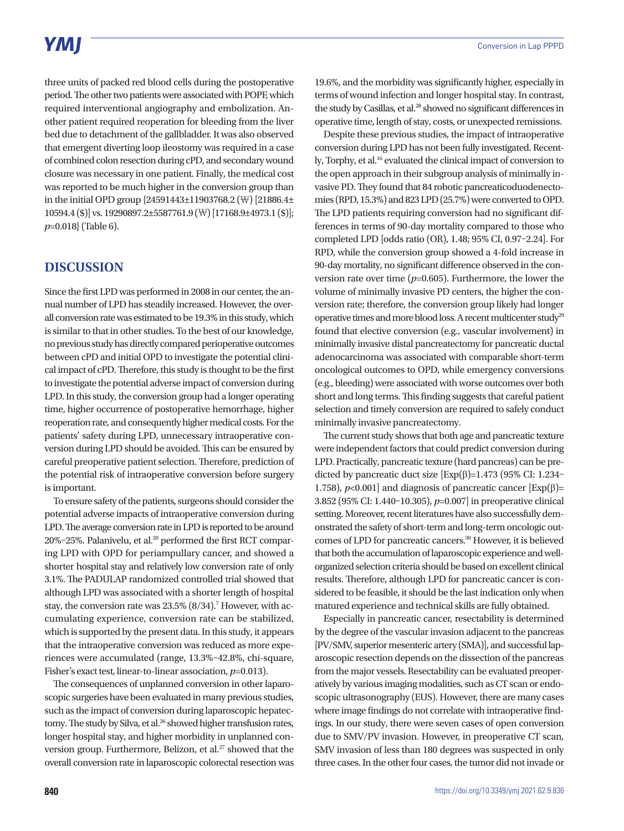## **YMI**

three units of packed red blood cells during the postoperative period. The other two patients were associated with POPF, which required interventional angiography and embolization. Another patient required reoperation for bleeding from the liver bed due to detachment of the gallbladder. It was also observed that emergent diverting loop ileostomy was required in a case of combined colon resection during cPD, and secondary wound closure was necessary in one patient. Finally, the medical cost was reported to be much higher in the conversion group than in the initial OPD group {24591443±11903768.2 (₩) [21886.4± 10594.4 (\$)] vs. 19290897.2±5587761.9 (₩) [17168.9±4973.1 (\$)]; *p*=0.018} (Table 6).

## **DISCUSSION**

Since the first LPD was performed in 2008 in our center, the annual number of LPD has steadily increased. However, the overall conversion rate was estimated to be 19.3% in this study, which is similar to that in other studies. To the best of our knowledge, no previous study has directly compared perioperative outcomes between cPD and initial OPD to investigate the potential clinical impact of cPD. Therefore, this study is thought to be the first to investigate the potential adverse impact of conversion during LPD. In this study, the conversion group had a longer operating time, higher occurrence of postoperative hemorrhage, higher reoperation rate, and consequently higher medical costs. For the patients' safety during LPD, unnecessary intraoperative conversion during LPD should be avoided. This can be ensured by careful preoperative patient selection. Therefore, prediction of the potential risk of intraoperative conversion before surgery is important.

To ensure safety of the patients, surgeons should consider the potential adverse impacts of intraoperative conversion during LPD. The average conversion rate in LPD is reported to be around 20%-25%. Palanivelu, et al.<sup>20</sup> performed the first RCT comparing LPD with OPD for periampullary cancer, and showed a shorter hospital stay and relatively low conversion rate of only 3.1%. The PADULAP randomized controlled trial showed that although LPD was associated with a shorter length of hospital stay, the conversion rate was 23.5% (8/34).<sup>7</sup> However, with accumulating experience, conversion rate can be stabilized, which is supported by the present data. In this study, it appears that the intraoperative conversion was reduced as more experiences were accumulated (range, 13.3%–42.8%, chi-square, Fisher's exact test, linear-to-linear association, *p*=0.013).

The consequences of unplanned conversion in other laparoscopic surgeries have been evaluated in many previous studies, such as the impact of conversion during laparoscopic hepatectomy. The study by Silva, et al.<sup>26</sup> showed higher transfusion rates, longer hospital stay, and higher morbidity in unplanned conversion group. Furthermore, Belizon, et al.<sup>27</sup> showed that the overall conversion rate in laparoscopic colorectal resection was

19.6%, and the morbidity was significantly higher, especially in terms of wound infection and longer hospital stay. In contrast, the study by Casillas, et al.<sup>28</sup> showed no significant differences in operative time, length of stay, costs, or unexpected remissions.

Despite these previous studies, the impact of intraoperative conversion during LPD has not been fully investigated. Recently, Torphy, et al.16 evaluated the clinical impact of conversion to the open approach in their subgroup analysis of minimally invasive PD. They found that 84 robotic pancreaticoduodenectomies (RPD, 15.3%) and 823 LPD (25.7%) were converted to OPD. The LPD patients requiring conversion had no significant differences in terms of 90-day mortality compared to those who completed LPD [odds ratio (OR), 1.48; 95% CI, 0.97–2.24]. For RPD, while the conversion group showed a 4-fold increase in 90-day mortality, no significant difference observed in the conversion rate over time (*p*=0.605). Furthermore, the lower the volume of minimally invasive PD centers, the higher the conversion rate; therefore, the conversion group likely had longer operative times and more blood loss. A recent multicenter study<sup>29</sup> found that elective conversion (e.g., vascular involvement) in minimally invasive distal pancreatectomy for pancreatic ductal adenocarcinoma was associated with comparable short-term oncological outcomes to OPD, while emergency conversions (e.g., bleeding) were associated with worse outcomes over both short and long terms. This finding suggests that careful patient selection and timely conversion are required to safely conduct minimally invasive pancreatectomy.

The current study shows that both age and pancreatic texture were independent factors that could predict conversion during LPD. Practically, pancreatic texture (hard pancreas) can be predicted by pancreatic duct size  $[Exp(\beta)=1.473$  (95% CI: 1.234– 1.758),  $p$ <0.001] and diagnosis of pancreatic cancer [Exp( $\beta$ ]= 3.852 (95% CI: 1.440–10.305), *p*=0.007] in preoperative clinical setting. Moreover, recent literatures have also successfully demonstrated the safety of short-term and long-term oncologic outcomes of LPD for pancreatic cancers.30 However, it is believed that both the accumulation of laparoscopic experience and wellorganized selection criteria should be based on excellent clinical results. Therefore, although LPD for pancreatic cancer is considered to be feasible, it should be the last indication only when matured experience and technical skills are fully obtained.

Especially in pancreatic cancer, resectability is determined by the degree of the vascular invasion adjacent to the pancreas [PV/SMV, superior mesenteric artery (SMA)], and successful laparoscopic resection depends on the dissection of the pancreas from the major vessels. Resectability can be evaluated preoperatively by various imaging modalities, such as CT scan or endoscopic ultrasonography (EUS). However, there are many cases where image findings do not correlate with intraoperative findings. In our study, there were seven cases of open conversion due to SMV/PV invasion. However, in preoperative CT scan, SMV invasion of less than 180 degrees was suspected in only three cases. In the other four cases, the tumor did not invade or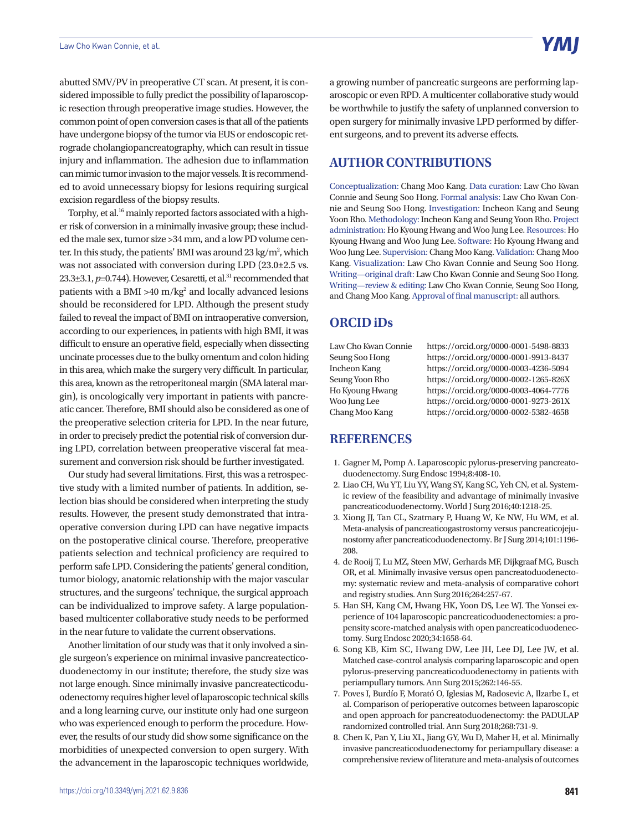abutted SMV/PV in preoperative CT scan. At present, it is considered impossible to fully predict the possibility of laparoscopic resection through preoperative image studies. However, the common point of open conversion cases is that all of the patients have undergone biopsy of the tumor via EUS or endoscopic retrograde cholangiopancreatography, which can result in tissue injury and inflammation. The adhesion due to inflammation can mimic tumor invasion to the major vessels. It is recommended to avoid unnecessary biopsy for lesions requiring surgical excision regardless of the biopsy results.

Torphy, et al.<sup>16</sup> mainly reported factors associated with a higher risk of conversion in a minimally invasive group; these included the male sex, tumor size >34 mm, and a low PD volume center. In this study, the patients' BMI was around 23 kg/m<sup>2</sup>, which was not associated with conversion during LPD (23.0±2.5 vs. 23.3 $\pm$ 3.1,  $p$ =0.744). However, Cesaretti, et al.<sup>31</sup> recommended that patients with a BMI >40 m/kg<sup>2</sup> and locally advanced lesions should be reconsidered for LPD. Although the present study failed to reveal the impact of BMI on intraoperative conversion, according to our experiences, in patients with high BMI, it was difficult to ensure an operative field, especially when dissecting uncinate processes due to the bulky omentum and colon hiding in this area, which make the surgery very difficult. In particular, this area, known as the retroperitoneal margin (SMA lateral margin), is oncologically very important in patients with pancreatic cancer. Therefore, BMI should also be considered as one of the preoperative selection criteria for LPD. In the near future, in order to precisely predict the potential risk of conversion during LPD, correlation between preoperative visceral fat measurement and conversion risk should be further investigated.

Our study had several limitations. First, this was a retrospective study with a limited number of patients. In addition, selection bias should be considered when interpreting the study results. However, the present study demonstrated that intraoperative conversion during LPD can have negative impacts on the postoperative clinical course. Therefore, preoperative patients selection and technical proficiency are required to perform safe LPD. Considering the patients' general condition, tumor biology, anatomic relationship with the major vascular structures, and the surgeons' technique, the surgical approach can be individualized to improve safety. A large populationbased multicenter collaborative study needs to be performed in the near future to validate the current observations.

Another limitation of our study was that it only involved a single surgeon's experience on minimal invasive pancreatecticoduodenectomy in our institute; therefore, the study size was not large enough. Since minimally invasive pancreatecticoduodenectomy requires higher level of laparoscopic technical skills and a long learning curve, our institute only had one surgeon who was experienced enough to perform the procedure. However, the results of our study did show some significance on the morbidities of unexpected conversion to open surgery. With the advancement in the laparoscopic techniques worldwide, a growing number of pancreatic surgeons are performing laparoscopic or even RPD. A multicenter collaborative study would be worthwhile to justify the safety of unplanned conversion to open surgery for minimally invasive LPD performed by different surgeons, and to prevent its adverse effects.

## **AUTHOR CONTRIBUTIONS**

Conceptualization: Chang Moo Kang. Data curation: Law Cho Kwan Connie and Seung Soo Hong. Formal analysis: Law Cho Kwan Connie and Seung Soo Hong. Investigation: Incheon Kang and Seung Yoon Rho. Methodology: Incheon Kang and Seung Yoon Rho. Project administration: Ho Kyoung Hwang and Woo Jung Lee. Resources: Ho Kyoung Hwang and Woo Jung Lee. Software: Ho Kyoung Hwang and Woo Jung Lee. Supervision: Chang Moo Kang. Validation: Chang Moo Kang. Visualization: Law Cho Kwan Connie and Seung Soo Hong. Writing—original draft: Law Cho Kwan Connie and Seung Soo Hong. Writing—review & editing: Law Cho Kwan Connie, Seung Soo Hong, and Chang Moo Kang. Approval of final manuscript: all authors.

## **ORCID iDs**

Law Cho Kwan Connie https://orcid.org/0000-0001-5498-8833 Seung Soo Hong https://orcid.org/0000-0001-9913-8437 Incheon Kang https://orcid.org/0000-0003-4236-5094 Seung Yoon Rho https://orcid.org/0000-0002-1265-826X Ho Kyoung Hwang https://orcid.org/0000-0003-4064-7776 Woo Jung Lee https://orcid.org/0000-0001-9273-261X Chang Moo Kang https://orcid.org/0000-0002-5382-4658

## **REFERENCES**

- 1. Gagner M, Pomp A. Laparoscopic pylorus-preserving pancreatoduodenectomy. Surg Endosc 1994;8:408-10.
- 2. Liao CH, Wu YT, Liu YY, Wang SY, Kang SC, Yeh CN, et al. Systemic review of the feasibility and advantage of minimally invasive pancreaticoduodenectomy. World J Surg 2016;40:1218-25.
- 3. Xiong JJ, Tan CL, Szatmary P, Huang W, Ke NW, Hu WM, et al. Meta-analysis of pancreaticogastrostomy versus pancreaticojejunostomy after pancreaticoduodenectomy. Br J Surg 2014;101:1196- 208.
- 4. de Rooij T, Lu MZ, Steen MW, Gerhards MF, Dijkgraaf MG, Busch OR, et al. Minimally invasive versus open pancreatoduodenectomy: systematic review and meta-analysis of comparative cohort and registry studies. Ann Surg 2016;264:257-67.
- 5. Han SH, Kang CM, Hwang HK, Yoon DS, Lee WJ. The Yonsei experience of 104 laparoscopic pancreaticoduodenectomies: a propensity score-matched analysis with open pancreaticoduodenectomy. Surg Endosc 2020;34:1658-64.
- 6. Song KB, Kim SC, Hwang DW, Lee JH, Lee DJ, Lee JW, et al. Matched case-control analysis comparing laparoscopic and open pylorus-preserving pancreaticoduodenectomy in patients with periampullary tumors. Ann Surg 2015;262:146-55.
- 7. Poves I, Burdío F, Morató O, Iglesias M, Radosevic A, Ilzarbe L, et al. Comparison of perioperative outcomes between laparoscopic and open approach for pancreatoduodenectomy: the PADULAP randomized controlled trial. Ann Surg 2018;268:731-9.
- 8. Chen K, Pan Y, Liu XL, Jiang GY, Wu D, Maher H, et al. Minimally invasive pancreaticoduodenectomy for periampullary disease: a comprehensive review of literature and meta-analysis of outcomes